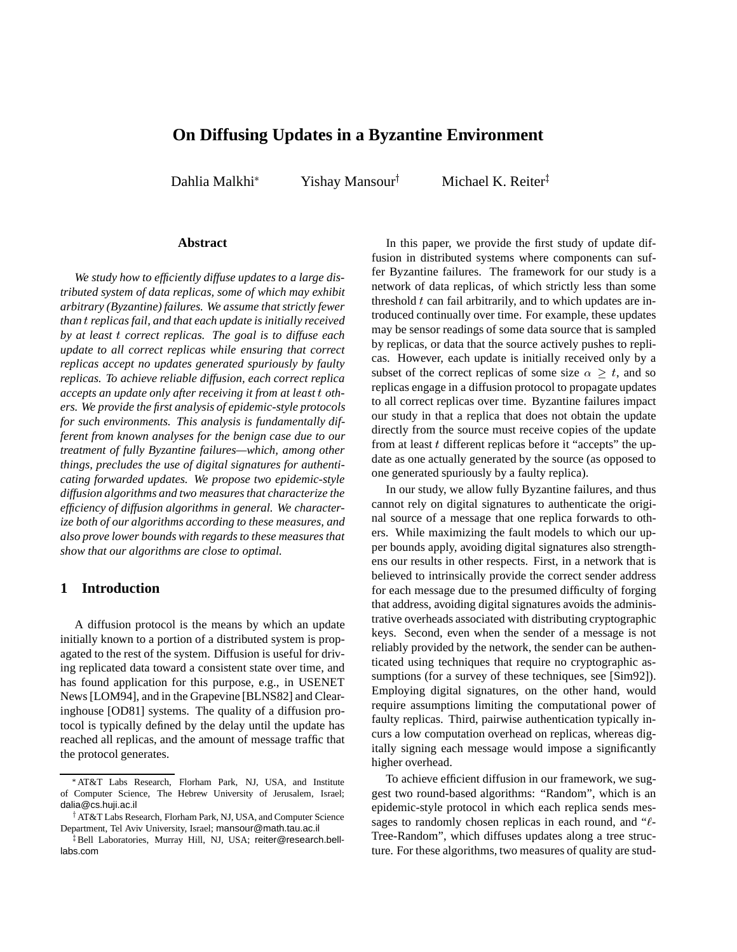# **On Diffusing Updates in a Byzantine Environment**

Dahlia Malkhi

Yishay Mansour<sup>†</sup>

Michael K. Reiter $\ddagger$ 

#### **Abstract**

*We study how to efficiently diffuse updates to a large distributed system of data replicas, some of which may exhibit arbitrary (Byzantine) failures. We assume that strictly fewer than* <sup>t</sup> *replicas fail, and that each update is initially received by at least* <sup>t</sup> *correct replicas. The goal is to diffuse each update to all correct replicas while ensuring that correct replicas accept no updates generated spuriously by faulty replicas. To achieve reliable diffusion, each correct replica accepts an update only after receiving it from at least* <sup>t</sup> *others. We provide the first analysis of epidemic-style protocols for such environments. This analysis is fundamentally different from known analyses for the benign case due to our treatment of fully Byzantine failures—which, among other things, precludes the use of digital signatures for authenticating forwarded updates. We propose two epidemic-style diffusion algorithms and two measures that characterize the efficiency of diffusion algorithms in general. We characterize both of our algorithms according to these measures, and also prove lower bounds with regards to these measures that show that our algorithms are close to optimal.*

### **1 Introduction**

A diffusion protocol is the means by which an update initially known to a portion of a distributed system is propagated to the rest of the system. Diffusion is useful for driving replicated data toward a consistent state over time, and has found application for this purpose, e.g., in USENET News [LOM94], and in the Grapevine [BLNS82] and Clearinghouse [OD81] systems. The quality of a diffusion protocol is typically defined by the delay until the update has reached all replicas, and the amount of message traffic that the protocol generates.

In this paper, we provide the first study of update diffusion in distributed systems where components can suffer Byzantine failures. The framework for our study is a network of data replicas, of which strictly less than some threshold  $t$  can fail arbitrarily, and to which updates are introduced continually over time. For example, these updates may be sensor readings of some data source that is sampled by replicas, or data that the source actively pushes to replicas. However, each update is initially received only by a subset of the correct replicas of some size  $\alpha > t$ , and so replicas engage in a diffusion protocol to propagate updates to all correct replicas over time. Byzantine failures impact our study in that a replica that does not obtain the update directly from the source must receive copies of the update from at least  $t$  different replicas before it "accepts" the update as one actually generated by the source (as opposed to one generated spuriously by a faulty replica).

In our study, we allow fully Byzantine failures, and thus cannot rely on digital signatures to authenticate the original source of a message that one replica forwards to others. While maximizing the fault models to which our upper bounds apply, avoiding digital signatures also strengthens our results in other respects. First, in a network that is believed to intrinsically provide the correct sender address for each message due to the presumed difficulty of forging that address, avoiding digital signatures avoids the administrative overheads associated with distributing cryptographic keys. Second, even when the sender of a message is not reliably provided by the network, the sender can be authenticated using techniques that require no cryptographic assumptions (for a survey of these techniques, see [Sim92]). Employing digital signatures, on the other hand, would require assumptions limiting the computational power of faulty replicas. Third, pairwise authentication typically incurs a low computation overhead on replicas, whereas digitally signing each message would impose a significantly higher overhead.

To achieve efficient diffusion in our framework, we suggest two round-based algorithms: "Random", which is an epidemic-style protocol in which each replica sends messages to randomly chosen replicas in each round, and  $\mathcal{L}$ -Tree-Random", which diffuses updates along a tree structure. For these algorithms, two measures of quality are stud-

AT&T Labs Research, Florham Park, NJ, USA, and Institute of Computer Science, The Hebrew University of Jerusalem, Israel; dalia@cs.huji.ac.il

<sup>&</sup>lt;sup>†</sup> AT&T Labs Research, Florham Park, NJ, USA, and Computer Science Department, Tel Aviv University, Israel; mansour@math.tau.ac.il

<sup>z</sup> Bell Laboratories, Murray Hill, NJ, USA; reiter@research.belllabs.com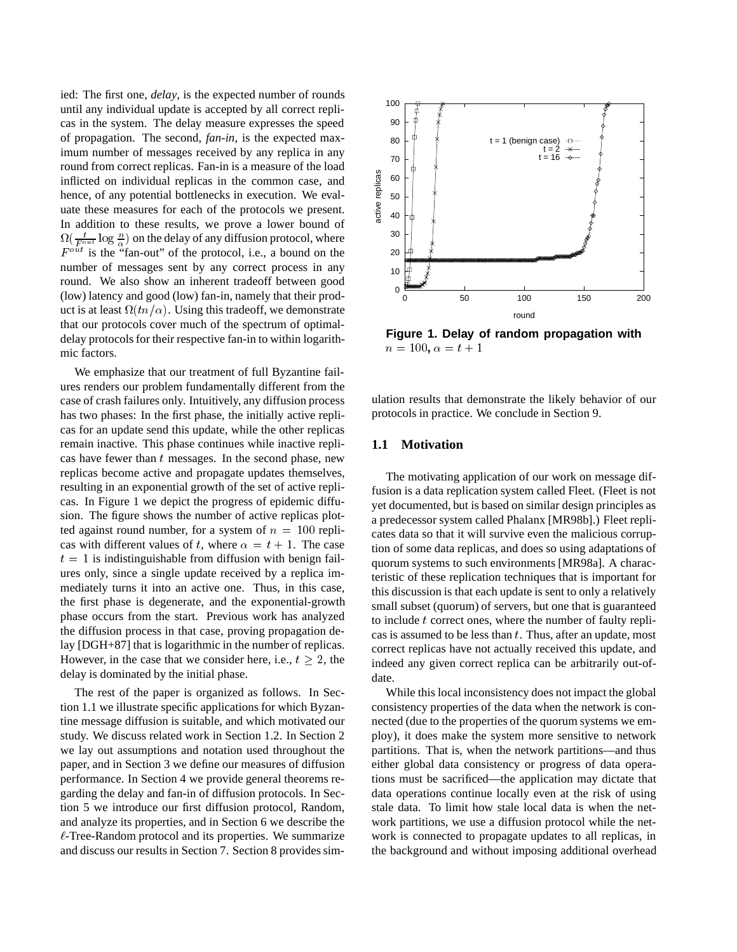ied: The first one, *delay*, is the expected number of rounds until any individual update is accepted by all correct replicas in the system. The delay measure expresses the speed of propagation. The second, *fan-in*, is the expected maximum number of messages received by any replica in any round from correct replicas. Fan-in is a measure of the load inflicted on individual replicas in the common case, and hence, of any potential bottlenecks in execution. We evaluate these measures for each of the protocols we present. In addition to these results, we prove a lower bound of  $\Omega(\frac{t}{F^{out}} \log \frac{n}{\alpha})$  on the delay of any diffusion protocol, where  $F^{\circ ut}$  is the "fan-out" of the protocol, i.e., a bound on the number of messages sent by any correct process in any round. We also show an inherent tradeoff between good (low) latency and good (low) fan-in, namely that their product is at least  $\Omega(tn/\alpha)$ . Using this tradeoff, we demonstrate that our protocols cover much of the spectrum of optimaldelay protocols for their respective fan-in to within logarithmic factors.

We emphasize that our treatment of full Byzantine failures renders our problem fundamentally different from the case of crash failures only. Intuitively, any diffusion process has two phases: In the first phase, the initially active replicas for an update send this update, while the other replicas remain inactive. This phase continues while inactive replicas have fewer than <sup>t</sup> messages. In the second phase, new replicas become active and propagate updates themselves, resulting in an exponential growth of the set of active replicas. In Figure 1 we depict the progress of epidemic diffusion. The figure shows the number of active replicas plotted against round number, for a system of  $n = 100$  replicas with different values of t, where  $\alpha = t + 1$ . The case  $t = 1$  is indistinguishable from diffusion with benign failures only, since a single update received by a replica immediately turns it into an active one. Thus, in this case, the first phase is degenerate, and the exponential-growth phase occurs from the start. Previous work has analyzed the diffusion process in that case, proving propagation delay [DGH+87] that is logarithmic in the number of replicas. However, in the case that we consider here, i.e.,  $t \geq 2$ , the delay is dominated by the initial phase.

The rest of the paper is organized as follows. In Section 1.1 we illustrate specific applications for which Byzantine message diffusion is suitable, and which motivated our study. We discuss related work in Section 1.2. In Section 2 we lay out assumptions and notation used throughout the paper, and in Section 3 we define our measures of diffusion performance. In Section 4 we provide general theorems regarding the delay and fan-in of diffusion protocols. In Section 5 we introduce our first diffusion protocol, Random, and analyze its properties, and in Section 6 we describe the  $\ell$ -Tree-Random protocol and its properties. We summarize and discuss our results in Section 7. Section 8 provides sim-



**Figure 1. Delay of random propagation with**  $n = 100, \alpha = t + 1$ 

ulation results that demonstrate the likely behavior of our protocols in practice. We conclude in Section 9.

#### **1.1 Motivation**

The motivating application of our work on message diffusion is a data replication system called Fleet. (Fleet is not yet documented, but is based on similar design principles as a predecessor system called Phalanx [MR98b].) Fleet replicates data so that it will survive even the malicious corruption of some data replicas, and does so using adaptations of quorum systems to such environments [MR98a]. A characteristic of these replication techniques that is important for this discussion is that each update is sent to only a relatively small subset (quorum) of servers, but one that is guaranteed to include  $t$  correct ones, where the number of faulty replicas is assumed to be less than  $t$ . Thus, after an update, most correct replicas have not actually received this update, and indeed any given correct replica can be arbitrarily out-ofdate.

While this local inconsistency does not impact the global consistency properties of the data when the network is connected (due to the properties of the quorum systems we employ), it does make the system more sensitive to network partitions. That is, when the network partitions—and thus either global data consistency or progress of data operations must be sacrificed—the application may dictate that data operations continue locally even at the risk of using stale data. To limit how stale local data is when the network partitions, we use a diffusion protocol while the network is connected to propagate updates to all replicas, in the background and without imposing additional overhead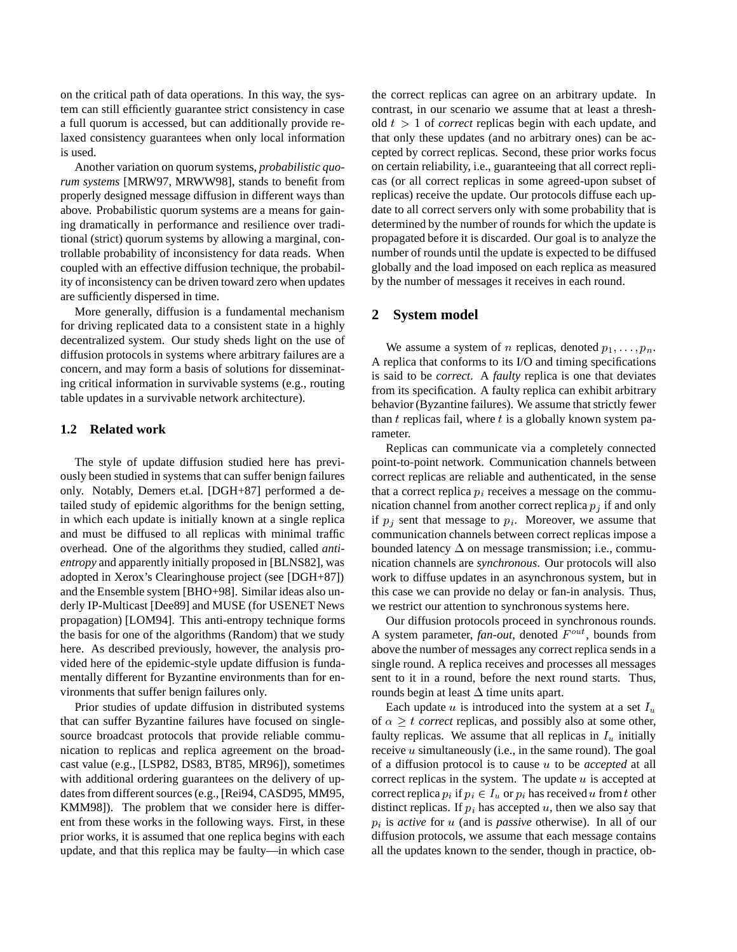on the critical path of data operations. In this way, the system can still efficiently guarantee strict consistency in case a full quorum is accessed, but can additionally provide relaxed consistency guarantees when only local information is used.

Another variation on quorum systems, *probabilistic quorum systems* [MRW97, MRWW98], stands to benefit from properly designed message diffusion in different ways than above. Probabilistic quorum systems are a means for gaining dramatically in performance and resilience over traditional (strict) quorum systems by allowing a marginal, controllable probability of inconsistency for data reads. When coupled with an effective diffusion technique, the probability of inconsistency can be driven toward zero when updates are sufficiently dispersed in time.

More generally, diffusion is a fundamental mechanism for driving replicated data to a consistent state in a highly decentralized system. Our study sheds light on the use of diffusion protocols in systems where arbitrary failures are a concern, and may form a basis of solutions for disseminating critical information in survivable systems (e.g., routing table updates in a survivable network architecture).

### **1.2 Related work**

The style of update diffusion studied here has previously been studied in systems that can suffer benign failures only. Notably, Demers et.al. [DGH+87] performed a detailed study of epidemic algorithms for the benign setting, in which each update is initially known at a single replica and must be diffused to all replicas with minimal traffic overhead. One of the algorithms they studied, called *antientropy* and apparently initially proposed in [BLNS82], was adopted in Xerox's Clearinghouse project (see [DGH+87]) and the Ensemble system [BHO+98]. Similar ideas also underly IP-Multicast [Dee89] and MUSE (for USENET News propagation) [LOM94]. This anti-entropy technique forms the basis for one of the algorithms (Random) that we study here. As described previously, however, the analysis provided here of the epidemic-style update diffusion is fundamentally different for Byzantine environments than for environments that suffer benign failures only.

Prior studies of update diffusion in distributed systems that can suffer Byzantine failures have focused on singlesource broadcast protocols that provide reliable communication to replicas and replica agreement on the broadcast value (e.g., [LSP82, DS83, BT85, MR96]), sometimes with additional ordering guarantees on the delivery of updates from different sources (e.g., [Rei94, CASD95, MM95, KMM98]). The problem that we consider here is different from these works in the following ways. First, in these prior works, it is assumed that one replica begins with each update, and that this replica may be faulty—in which case the correct replicas can agree on an arbitrary update. In contrast, in our scenario we assume that at least a threshold  $t > 1$  of *correct* replicas begin with each update, and that only these updates (and no arbitrary ones) can be accepted by correct replicas. Second, these prior works focus on certain reliability, i.e., guaranteeing that all correct replicas (or all correct replicas in some agreed-upon subset of replicas) receive the update. Our protocols diffuse each update to all correct servers only with some probability that is determined by the number of rounds for which the update is propagated before it is discarded. Our goal is to analyze the number of rounds until the update is expected to be diffused globally and the load imposed on each replica as measured by the number of messages it receives in each round.

### **2 System model**

We assume a system of *n* replicas, denoted  $p_1,\ldots,p_n$ . A replica that conforms to its I/O and timing specifications is said to be *correct*. A *faulty* replica is one that deviates from its specification. A faulty replica can exhibit arbitrary behavior (Byzantine failures). We assume that strictly fewer than  $t$  replicas fail, where  $t$  is a globally known system parameter.

Replicas can communicate via a completely connected point-to-point network. Communication channels between correct replicas are reliable and authenticated, in the sense that a correct replica  $p_i$  receives a message on the communication channel from another correct replica  $p_j$  if and only if  $p_j$  sent that message to  $p_i$ . Moreover, we assume that communication channels between correct replicas impose a bounded latency  $\Delta$  on message transmission; i.e., communication channels are *synchronous*. Our protocols will also work to diffuse updates in an asynchronous system, but in this case we can provide no delay or fan-in analysis. Thus, we restrict our attention to synchronous systems here.

Our diffusion protocols proceed in synchronous rounds. A system parameter,  $fan-out$ , denoted  $F<sup>out</sup>$ , bounds from above the number of messages any correct replica sends in a single round. A replica receives and processes all messages sent to it in a round, before the next round starts. Thus, rounds begin at least  $\Delta$  time units apart.

Each update  $u$  is introduced into the system at a set  $I_u$ of  $\alpha \geq t$  *correct* replicas, and possibly also at some other, faulty replicas. We assume that all replicas in  $I_u$  initially receive  $u$  simultaneously (i.e., in the same round). The goal of a diffusion protocol is to cause <sup>u</sup> to be *accepted* at all correct replicas in the system. The update  $u$  is accepted at correct replica  $p_i$  if  $p_i \in I_u$  or  $p_i$  has received u from t other distinct replicas. If  $p_i$  has accepted u, then we also say that pi is *active* for <sup>u</sup> (and is *passive* otherwise). In all of our diffusion protocols, we assume that each message contains all the updates known to the sender, though in practice, ob-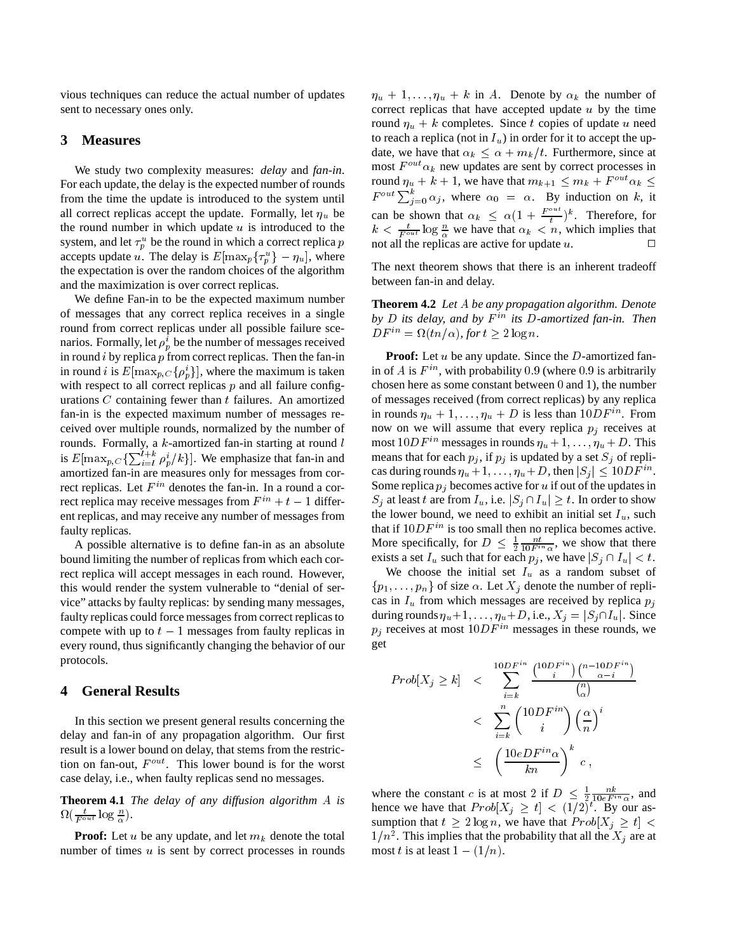vious techniques can reduce the actual number of updates sent to necessary ones only.

### **3 Measures**

We study two complexity measures: *delay* and *fan-in*. For each update, the delay is the expected number of rounds from the time the update is introduced to the system until all correct replicas accept the update. Formally, let  $\eta_u$  be the round number in which update  $u$  is introduced to the system, and let  $\tau_n^u$  be the round in which a correct replica  $p$  not accepts update u. The delay is  $E[\max_p {\{\tau_n^u\}} - \eta_u]$ , where the expectation is over the random choices of the algorithm and the maximization is over correct replicas.

We define Fan-in to be the expected maximum number of messages that any correct replica receives in a single round from correct replicas under all possible failure scenarios. Formally, let  $\rho_p^i$  be the number of messages received in round  $i$  by replica  $p$  from correct replicas. Then the fan-in in round i is  $E[\max_{p,C}{\{\rho_n^i\}}]$ , where the maximum is taken with respect to all correct replicas  $p$  and all failure configurations  $C$  containing fewer than  $t$  failures. An amortized fan-in is the expected maximum number of messages received over multiple rounds, normalized by the number of rounds. Formally, a  $k$ -amortized fan-in starting at round  $l$ is  $E[\max_{p,C}\left\{\sum_{i=l}^{t+\kappa} \rho_p^i/k\right\}]$ . We emphasize that fan-in and amortized fan-in are measures only for messages from correct replicas. Let  $F^{in}$  denotes the fan-in. In a round a correct replica may receive messages from  $F^{in} + t - 1$  different replicas, and may receive any number of messages from faulty replicas.

A possible alternative is to define fan-in as an absolute bound limiting the number of replicas from which each correct replica will accept messages in each round. However, this would render the system vulnerable to "denial of service" attacks by faulty replicas: by sending many messages, faulty replicas could force messages from correct replicas to compete with up to  $t - 1$  messages from faulty replicas in every round, thus significantly changing the behavior of our protocols.

#### **4 General Results**

In this section we present general results concerning the delay and fan-in of any propagation algorithm. Our first result is a lower bound on delay, that stems from the restriction on fan-out,  $F^{out}$ . This lower bound is for the worst case delay, i.e., when faulty replicas send no messages.

**Theorem 4.1** *The delay of any diffusion algorithm* <sup>A</sup> *is*  $\Omega(\frac{t}{F^{\circ ut}}\log\frac{n}{\alpha}).$ 

**Proof:** Let u be any update, and let  $m_k$  denote the total number of times  $u$  is sent by correct processes in rounds  $\eta_u + 1, \ldots, \eta_u + k$  in A. Denote by  $\alpha_k$  the number of correct replicas that have accepted update  $u$  by the time round  $\eta_u + k$  completes. Since t copies of update u need to reach a replica (not in  $I_u$ ) in order for it to accept the update, we have that  $\alpha_k \leq \alpha + m_k/t$ . Furthermore, since at most  $F^{out} \alpha_k$  new updates are sent by correct processes in round  $\eta_u + k + 1$ , we have that  $m_{k+1} \leq m_k + F^{out} \alpha_k \leq$  $F^{out} \sum_{i=0}^{k} \alpha_i$ , where  $\alpha_0 = \alpha$ . By induction on k, it can be shown that  $\alpha_k \leq \alpha (1 + \frac{F^{out}}{t})^k$ . Therefore, for  $k < \frac{t}{F^{out}} \log \frac{n}{\alpha}$  we have that  $\alpha_k < n$ , which implies that not all the replicas are active for update  $u$ .

The next theorem shows that there is an inherent tradeoff between fan-in and delay.

**Theorem 4.2** *Let* <sup>A</sup> *be any propagation algorithm. Denote by D its delay, and by*  $F^{in}$  *its D-amortized fan-in. Then*  $DF^{in} = \Omega(tn/\alpha)$ , for  $t \geq 2 \log n$ .

**Proof:** Let u be any update. Since the D-amortized fanin of A is  $F^{in}$ , with probability 0.9 (where 0.9 is arbitrarily chosen here as some constant between <sup>0</sup> and <sup>1</sup>), the number of messages received (from correct replicas) by any replica in rounds  $\eta_u + 1, \ldots, \eta_u + D$  is less than  $10DF^{in}$ . From now on we will assume that every replica  $p_j$  receives at most  $10DF^{in}$  messages in rounds  $\eta_u + 1, \ldots, \eta_u + D$ . This means that for each  $p_j$ , if  $p_j$  is updated by a set  $S_j$  of replicas during rounds  $\eta_u + 1, \ldots, \eta_u + D$ , then  $|S_j| \leq 10DF^{in}$ . Some replica  $p_i$  becomes active for u if out of the updates in  $S_j$  at least t are from  $I_u$ , i.e.  $|S_j \cap I_u| \geq t$ . In order to show the lower bound, we need to exhibit an initial set  $I_u$ , such that if  $10DF^{in}$  is too small then no replica becomes active. More specifically, for  $D \leq \frac{1}{2} \frac{nt}{10F^{in} \alpha}$ , we show that there exists a set  $I_u$  such that for each  $p_j$ , we have  $|S_j \cap I_u| < t$ .

We choose the initial set  $I_u$  as a random subset of  $\{p_1,\ldots,p_n\}$  of size  $\alpha$ . Let  $X_j$  denote the number of replicas in  $I_u$  from which messages are received by replica  $p_j$ during rounds  $\eta_u+1,\ldots,\eta_u+D$ , i.e.,  $X_j = |S_j \cap I_u|$ . Since  $p_i$  receives at most  $10DF^{in}$  messages in these rounds, we get

$$
Prob[X_j \ge k] \n
$$
\sum_{i=k}^{10DF^{in}} \frac{\binom{10DF^{in}}{i} \binom{n-10DF^{in}}{\alpha-i}}{\binom{n}{\alpha}}
$$
\n
$$
< \sum_{i=k}^{n} \binom{10DF^{in}}{i} \left(\frac{\alpha}{n}\right)^i
$$
\n
$$
\leq \left(\frac{10eDF^{in}\alpha}{kn}\right)^k c,
$$
$$

where the constant c is at most 2 if  $D \leq \frac{1}{2} \frac{nk}{10eF^{in}\alpha}$ , and hence we have that  $Prob[X_j \ge t] < (1/2)^t$ . By our assumption that  $t \geq 2 \log n$ , we have that  $Prob[X_i \geq t]$  <  $1/n<sup>2</sup>$ . This implies that the probability that all the  $X_j$  are at most t is at least  $1 - (1/n)$ .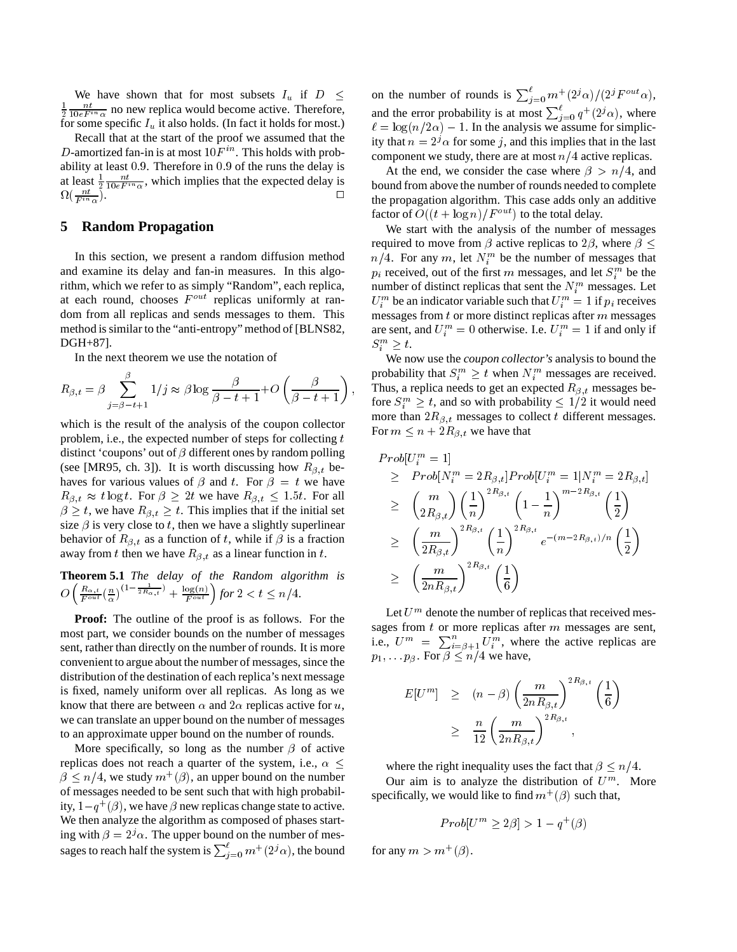We have shown that for most subsets  $I_u$  if  $D \leq$  $\frac{1}{2} \frac{nt}{10eF^{in} \alpha}$  no new replica would become active. Therefore, for some specific  $I_u$  it also holds. (In fact it holds for most.)

Recall that at the start of the proof we assumed that the D-amortized fan-in is at most  $10F^{in}$ . This holds with probability at least 0:9. Therefore in 0:9 of the runs the delay is at least  $\frac{1}{2} \frac{nt}{10eF^{in} \alpha}$ , which implies that the expected delay is  $\Omega(\frac{nt}{F^{in}\alpha})$ .

### **5 Random Propagation**

In this section, we present a random diffusion method and examine its delay and fan-in measures. In this algorithm, which we refer to as simply "Random", each replica, at each round, chooses  $F^{out}$  replicas uniformly at random from all replicas and sends messages to them. This method is similar to the "anti-entropy" method of [BLNS82, DGH+87].

In the next theorem we use the notation of

$$
R_{\beta,t} = \beta \sum_{j=\beta-t+1}^{\beta} 1/j \approx \beta \log \frac{\beta}{\beta-t+1} + O\left(\frac{\beta}{\beta-t+1}\right),\,
$$

which is the result of the analysis of the coupon collector problem, i.e., the expected number of steps for collecting  $t$ distinct 'coupons' out of  $\beta$  different ones by random polling (see [MR95, ch. 3]). It is worth discussing how  $R_{\beta,t}$  behaves for various values of  $\beta$  and t. For  $\beta = t$  we have  $R_{\beta,t} \approx t \log t$ . For  $\beta \geq 2t$  we have  $R_{\beta,t} \leq 1.5t$ . For all  $\beta \geq t$ , we have  $R_{\beta,t} \geq t$ . This implies that if the initial set size  $\beta$  is very close to t, then we have a slightly superlinear behavior of  $R_{\beta,t}$  as a function of t, while if  $\beta$  is a fraction away from t then we have  $R_{\beta,t}$  as a linear function in t.

**Theorem 5.1** *The delay of the Random algorithm is* O  $\left(\frac{R_{\alpha,t}}{F^{\circ ut}}(\frac{n}{\alpha})^{(1-\frac{1}{2R_{\alpha,t}})} + \frac{\log(n)}{F^{\circ ut}}\right)$  for  $2 < t \leq n/4$ .

**Proof:** The outline of the proof is as follows. For the most part, we consider bounds on the number of messages sent, rather than directly on the number of rounds. It is more convenient to argue about the number of messages, since the distribution of the destination of each replica's next message is fixed, namely uniform over all replicas. As long as we know that there are between  $\alpha$  and  $2\alpha$  replicas active for u, we can translate an upper bound on the number of messages to an approximate upper bound on the number of rounds.

More specifically, so long as the number  $\beta$  of active replicas does not reach a quarter of the system, i.e.,  $\alpha$  <  $\beta \leq n/4$ , we study  $m^+(\beta)$ , an upper bound on the number of messages needed to be sent such that with high probability,  $1-q^+(\beta)$ , we have  $\beta$  new replicas change state to active. We then analyze the algorithm as composed of phases starting with  $\beta = 2^j \alpha$ . The upper bound on the number of messages to reach half the system is  $\sum_{i=0}^{t} m^+(2^j \alpha)$ , the bound

on the number of rounds is  $\sum_{i=0}^{l} m^{+}(2^{j}\alpha)/(2^{j}F^{\circ ut}\alpha)$ , and the error probability is at most  $\sum_{i=0}^{l} q^{+}(2^{j}\alpha)$ , where  $\ell = \log(n/2\alpha) - 1$ . In the analysis we assume for simplicity that  $n = 2<sup>j</sup> \alpha$  for some j, and this implies that in the last component we study, there are at most  $n/4$  active replicas.

At the end, we consider the case where  $\beta > n/4$ , and bound from above the number of rounds needed to complete the propagation algorithm. This case adds only an additive factor of  $O((t + \log n)/F^{out})$  to the total delay.

We start with the analysis of the number of messages required to move from  $\beta$  active replicas to 2 $\beta$ , where  $\beta$  <  $n/4$ . For any m, let  $N_i^m$  be the number of messages that  $p_i$  received, out of the first m messages, and let  $S_i^m$  be the number of distinct replicas that sent the  $N_i^m$  messages. Let  $U_i^m$  be an indicator variable such that  $U_i^m = 1$  if  $p_i$  receives messages from  $t$  or more distinct replicas after  $m$  messages are sent, and  $U_i^m = 0$  otherwise. I.e.  $U_i^m = 1$  if and only if  $S_i^m \geq t$ .

 $\left(\frac{\beta}{\beta-t+1}\right)$ , Thus, a replica needs to get an expected R<sub>0</sub>, t messages be-<br> $\frac{\beta-t+1}{\beta}$ , fins, a replica needs to get an expected R<sub>0</sub>, t messages be-We now use the *coupon collector's* analysis to bound the probability that  $S_i^m \geq t$  when  $N_i^m$  messages are received. fore  $S_i^m \geq t$ , and so with probability  $\leq 1/2$  it would need more than  $2R_{\beta,t}$  messages to collect t different messages. For  $m \leq n + 2R_{\beta,t}$  we have that

$$
Prob[U_i^m = 1]
$$
  
\n
$$
\geq Prob[N_i^m = 2R_{\beta,t}]Prob[U_i^m = 1|N_i^m = 2R_{\beta,t}]
$$
  
\n
$$
\geq {m \choose 2R_{\beta,t}} \left(\frac{1}{n}\right)^{2R_{\beta,t}} \left(1 - \frac{1}{n}\right)^{m-2R_{\beta,t}} \left(\frac{1}{2}\right)
$$
  
\n
$$
\geq \left(\frac{m}{2R_{\beta,t}}\right)^{2R_{\beta,t}} \left(\frac{1}{n}\right)^{2R_{\beta,t}} e^{-(m-2R_{\beta,t})/n} \left(\frac{1}{2}\right)
$$
  
\n
$$
\geq \left(\frac{m}{2nR_{\beta,t}}\right)^{2R_{\beta,t}} \left(\frac{1}{6}\right)
$$

Let  $U^m$  denote the number of replicas that received messages from  $t$  or more replicas after  $m$  messages are sent, i.e.,  $U^m = \sum_{i=\beta+1}^n U_i^m$ , where the active replicas are  $p_1, \ldots, p_\beta$ . For  $\beta \leq n/4$  we have,

$$
E[U^m] \ge (n-\beta) \left(\frac{m}{2nR_{\beta,t}}\right)^{2R_{\beta,t}} \left(\frac{1}{6}\right)
$$
  

$$
\ge \frac{n}{12} \left(\frac{m}{2nR_{\beta,t}}\right)^{2R_{\beta,t}},
$$

where the right inequality uses the fact that  $\beta < n/4$ . Our aim is to analyze the distribution of  $U^m$ . More specifically, we would like to find  $m^+(\beta)$  such that,

$$
Prob[U^m \ge 2\beta] > 1 - q^+(\beta)
$$

for any  $m > m^+(\beta)$ .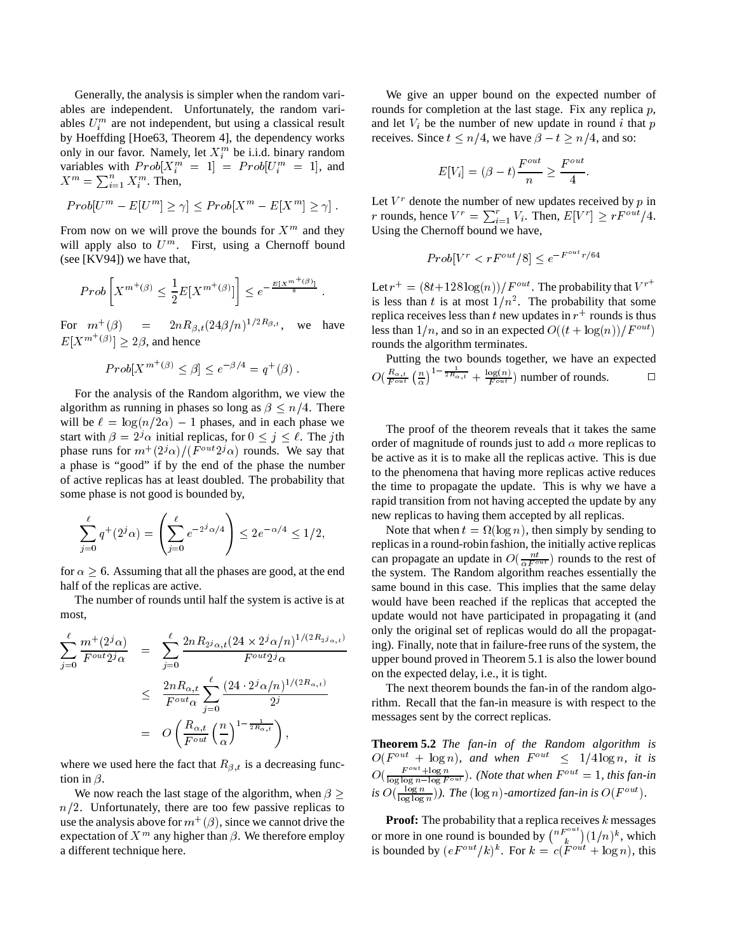Generally, the analysis is simpler when the random variables are independent. Unfortunately, the random variables  $U_i^m$  are not independent, but using a classical result by Hoeffding [Hoe63, Theorem 4], the dependency works only in our favor. Namely, let  $X_i^m$  be i.i.d. binary random variables with  $Prob[X_i^m = 1] = Prob[U_i^m = 1]$ , and  $X^m = \sum_{i=1}^n X_i^m$ . Then,

$$
Prob[Um - E[Um] \ge \gamma] \le Prob[Xm - E[Xm] \ge \gamma].
$$

From now on we will prove the bounds for  $X^m$  and they will apply also to  $U^m$ . First, using a Chernoff bound (see [KV94]) we have that,

$$
Prob\left[X^{m^+(\beta)} \leq \frac{1}{2}E[X^{m^+(\beta)}]\right] \leq e^{-\frac{E[X^{m^+(\beta)}]}{8}}\,.
$$

For  $m^+(\beta)$  =  $2nR_{\beta,t}(24\beta/n)^{1/2R_{\beta,t}}$ , we have  $E[X^{m^+(\beta)}] \geq 2\beta$ , and hence

$$
Prob[X^{m^+(\beta)} \leq \beta] \leq e^{-\beta/4} = q^+(\beta)
$$
.

For the analysis of the Random algorithm, we view the algorithm as running in phases so long as  $\beta \leq n/4$ . There will be  $\ell = \log(n/2\alpha) - 1$  phases, and in each phase we start with  $\beta = 2^j \alpha$  initial replicas, for  $0 \le j \le \ell$ . The jth phase runs for  $m^+(2^j\alpha)/(F^{out}2^j\alpha)$  rounds. We say that a phase is "good" if by the end of the phase the number of active replicas has at least doubled. The probability that some phase is not good is bounded by,

$$
\sum_{j=0}^{\ell} q^+(2^j \alpha) = \left(\sum_{j=0}^{\ell} e^{-2^j \alpha/4}\right) \le 2e^{-\alpha/4} \le 1/2,
$$

for  $\alpha > 6$ . Assuming that all the phases are good, at the end half of the replicas are active.

The number of rounds until half the system is active is at most,

$$
\sum_{j=0}^{\ell} \frac{m^+(2^j \alpha)}{F^{out} 2^j \alpha} = \sum_{j=0}^{\ell} \frac{2n R_{2^j \alpha,t} (24 \times 2^j \alpha/n)^{1/(2R_{2^j \alpha,t})}}{F^{out} 2^j \alpha} \frac{\frac{1}{2^j}}{F^{out} 2^j \alpha}
$$
\n
$$
\leq \frac{2n R_{\alpha,t}}{F^{out} \alpha} \sum_{j=0}^{\ell} \frac{(24 \cdot 2^j \alpha/n)^{1/(2R_{\alpha,t})}}{2^j}
$$
\n
$$
= O\left(\frac{R_{\alpha,t}}{F^{out}} \left(\frac{n}{\alpha}\right)^{1-\frac{1}{2R_{\alpha,t}}} \right),
$$

where we used here the fact that  $R_{\beta,t}$  is a decreasing function in  $\beta$ .

We now reach the last stage of the algorithm, when  $\beta$  $n/2$ . Unfortunately, there are too few passive replicas to use the analysis above for  $m^+(\beta)$ , since we cannot drive the expectation of  $X^m$  any higher than  $\beta$ . We therefore employ a different technique here.

We give an upper bound on the expected number of rounds for completion at the last stage. Fix any replica  $p$ , and let  $V_i$  be the number of new update in round i that p receives. Since  $t \leq n/4$ , we have  $\beta - t \geq n/4$ , and so:

$$
E[V_i] = (\beta - t) \frac{F^{out}}{n} \ge \frac{F^{out}}{4}.
$$

 $\geq \gamma$ . Let v denote the number of flew updates received by p in<br>
r rounds, hence  $V^r = \sum_{i=1}^r V_i$ . Then,  $E[V^r] \geq rF^{out}/4$ . Let  $V<sup>r</sup>$  denote the number of new updates received by  $p$  in Using the Chernoff bound we have,

$$
Prob[V^r < rF^{out}/8] \le e^{-F^{out}r/64}
$$

Let  $r^+ = (8t+128 \log(n))/F^{out}$ . The probability that  $V^{r^+}$ is less than t is at most  $1/n^2$ . The probability that some replica receives less than t new updates in  $r^+$  rounds is thus less than  $1/n$ , and so in an expected  $O((t + \log(n))/F^{out})$ rounds the algorithm terminates.

Putting the two bounds together, we have an expected  $O(\frac{R_{\alpha,t}}{F^{out}}(\frac{n}{\alpha})^{1-\frac{2R_{\alpha,t}}{R}+\frac{\log(n)}{F^{out}}})$  number of rounds.

The proof of the theorem reveals that it takes the same order of magnitude of rounds just to add  $\alpha$  more replicas to be active as it is to make all the replicas active. This is due to the phenomena that having more replicas active reduces the time to propagate the update. This is why we have a rapid transition from not having accepted the update by any new replicas to having them accepted by all replicas.

Note that when  $t = \Omega(\log n)$ , then simply by sending to replicas in a round-robin fashion, the initially active replicas can propagate an update in  $O(\frac{nt}{\alpha F^{\circ ut}})$  rounds to the rest of the system. The Random algorithm reaches essentially the same bound in this case. This implies that the same delay would have been reached if the replicas that accepted the update would not have participated in propagating it (and only the original set of replicas would do all the propagating). Finally, note that in failure-free runs of the system, the upper bound proved in Theorem 5.1 is also the lower bound on the expected delay, i.e., it is tight.

The next theorem bounds the fan-in of the random algorithm. Recall that the fan-in measure is with respect to the messages sent by the correct replicas.

**Theorem 5.2** *The fan-in of the Random algorithm is*  $O(F^{out} + \log n)$ *, and when*  $F^{out} \leq 1/4 \log n$ *, it is*  $O(\frac{F^{1-\epsilon} + \log n}{\log \log n - \log F^{out}})$ . (Note that when  $F^{out} = 1$ , this fan-in is  $O(\frac{\log n}{\log \log n})$ ). The  $(\log n)$ -amortized fan-in is  $O(F^{\circ ut})$ .

**Proof:** The probability that a replica receives k messages or more in one round is bounded by  $\binom{n_F^{new}}{k} (1/n)^k$ , which is bounded by  $(eF^{out}/k)^k$ . For  $k = c(F^{out} + \log n)$ , this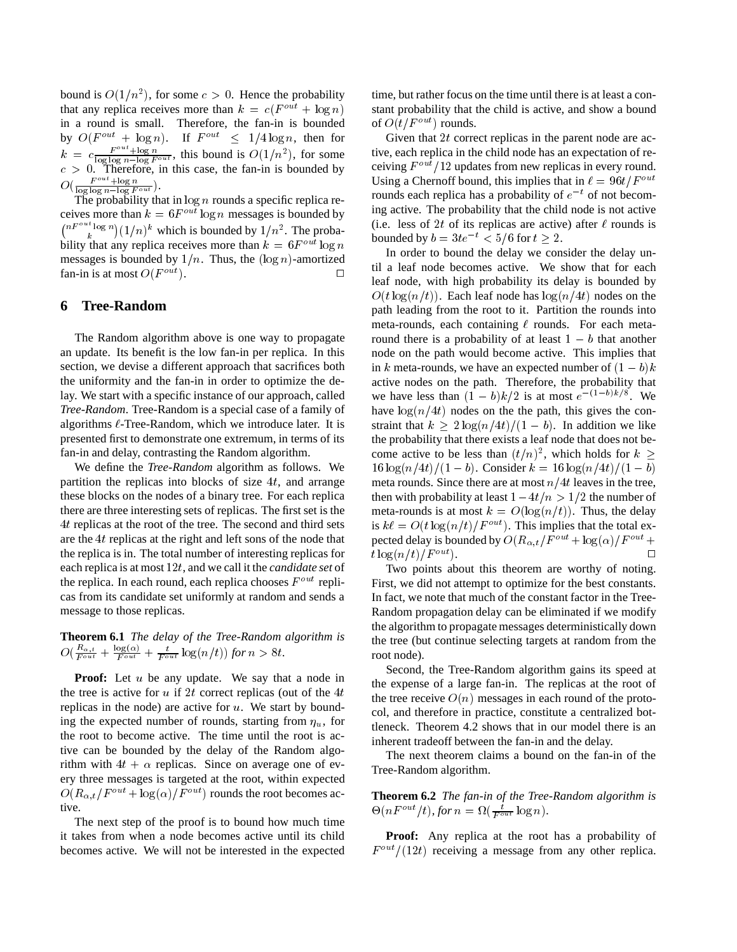bound is  $O(1/n^2)$ , for some  $c > 0$ . Hence the probability that any replica receives more than  $k = c(F^{out} + \log n)$ in a round is small. Therefore, the fan-in is bounded by  $O(F^{out} + \log n)$ . If  $F^{out} \leq 1/4 \log n$ , then for  $k = c \frac{F^{1-\epsilon} + \log n}{\log \log n - \log F^{out}}$ , this bound is  $O(1/n^2)$ , for some  $c > 0$ . Therefore, in this case, the fan-in is bounded by  $O(\frac{F^{1-\epsilon} + \log n}{\log \log n - \log F^{out}}).$ 

The probability that in  $\log n$  rounds a specific replica receives more than  $k = 6F^{out} \log n$  messages is bounded by  $\binom{nF^{\infty}}{k}$  log n)  $(1/n)^k$  which is bounded by  $1/n^2$ . The probability that any replica receives more than  $k = 6F^{out} \log n$ messages is bounded by  $1/n$ . Thus, the  $(\log n)$ -amortized fan-in is at most  $O(F^{out})$ .

## **6 Tree-Random**

The Random algorithm above is one way to propagate an update. Its benefit is the low fan-in per replica. In this section, we devise a different approach that sacrifices both the uniformity and the fan-in in order to optimize the delay. We start with a specific instance of our approach, called *Tree-Random*. Tree-Random is a special case of a family of algorithms  $\ell$ -Tree-Random, which we introduce later. It is presented first to demonstrate one extremum, in terms of its fan-in and delay, contrasting the Random algorithm.

We define the *Tree-Random* algorithm as follows. We partition the replicas into blocks of size  $4t$ , and arrange these blocks on the nodes of a binary tree. For each replica there are three interesting sets of replicas. The first set is the 4t replicas at the root of the tree. The second and third sets are the 4t replicas at the right and left sons of the node that the replica is in. The total number of interesting replicas for each replica is at most 12t, and we call it the *candidate set* of the replica. In each round, each replica chooses  $F^{out}$  replicas from its candidate set uniformly at random and sends a message to those replicas.

**Theorem 6.1** *The delay of the Tree-Random algorithm is*  $O(\frac{n_{\alpha,t}}{F^{\circ ut}} + \frac{\log(\alpha)}{F^{\circ ut}} + \frac{t}{F^{\circ ut}}\log(n/t))$  *for*  $n > 8t$ *.* 

**Proof:** Let u be any update. We say that a node in the tree is active for  $u$  if  $2t$  correct replicas (out of the  $4t$ replicas in the node) are active for  $u$ . We start by bounding the expected number of rounds, starting from  $\eta_u$ , for the root to become active. The time until the root is active can be bounded by the delay of the Random algorithm with  $4t + \alpha$  replicas. Since on average one of every three messages is targeted at the root, within expected  $O(R_{\alpha,t}/F^{out}+ \log(\alpha)/F^{out})$  rounds the root becomes active.

The next step of the proof is to bound how much time it takes from when a node becomes active until its child becomes active. We will not be interested in the expected time, but rather focus on the time until there is at least a constant probability that the child is active, and show a bound of  $O(t/F<sup>out</sup>)$  rounds.

Given that  $2t$  correct replicas in the parent node are active, each replica in the child node has an expectation of receiving  $F^{out}/12$  updates from new replicas in every round. Using a Chernoff bound, this implies that in  $\ell = 96t/F<sup>out</sup>$ rounds each replica has a probability of  $e^{-t}$  of not becoming active. The probability that the child node is not active (i.e. less of 2t of its replicas are active) after  $\ell$  rounds is bounded by  $b = 3te^{-t} < 5/6$  for  $t \ge 2$ .

In order to bound the delay we consider the delay until a leaf node becomes active. We show that for each leaf node, with high probability its delay is bounded by  $O(t \log(n/t))$ . Each leaf node has  $\log(n/4t)$  nodes on the path leading from the root to it. Partition the rounds into meta-rounds, each containing  $\ell$  rounds. For each metaround there is a probability of at least  $1 - b$  that another node on the path would become active. This implies that in k meta-rounds, we have an expected number of  $(1 - b)k$ active nodes on the path. Therefore, the probability that we have less than  $(1 - b)k/2$  is at most  $e^{-(1-b)k/8}$ . We have  $\log(n/4t)$  nodes on the the path, this gives the constraint that  $k \geq 2 \log(n/4t)/(1 - b)$ . In addition we like the probability that there exists a leaf node that does not become active to be less than  $(t/n)^2$ , which holds for  $k \geq$  $16 \log(n/4t)/(1 - b)$ . Consider  $k = 16 \log(n/4t)/(1 - b)$ meta rounds. Since there are at most  $n/4t$  leaves in the tree, then with probability at least  $1-4t/n > 1/2$  the number of meta-rounds is at most  $k = O(\log(n/t))$ . Thus, the delay is  $k\ell = O(t \log(n/t)/F^{out})$ . This implies that the total expected delay is bounded by  $O(R_{\alpha,t}/F^{out} + \log(\alpha)/F^{out} +$  $t \log(n/t)/F^{out}$ .

Two points about this theorem are worthy of noting. First, we did not attempt to optimize for the best constants. In fact, we note that much of the constant factor in the Tree-Random propagation delay can be eliminated if we modify the algorithm to propagate messages deterministically down the tree (but continue selecting targets at random from the root node).

Second, the Tree-Random algorithm gains its speed at the expense of a large fan-in. The replicas at the root of the tree receive  $O(n)$  messages in each round of the protocol, and therefore in practice, constitute a centralized bottleneck. Theorem 4.2 shows that in our model there is an inherent tradeoff between the fan-in and the delay.

The next theorem claims a bound on the fan-in of the Tree-Random algorithm.

**Theorem 6.2** *The fan-in of the Tree-Random algorithm is*  $\Theta(nF^{out}/t)$ , for  $n = \Omega(\frac{t}{F^{out}}\log n)$ .

**Proof:** Any replica at the root has a probability of  $F^{out}/(12t)$  receiving a message from any other replica.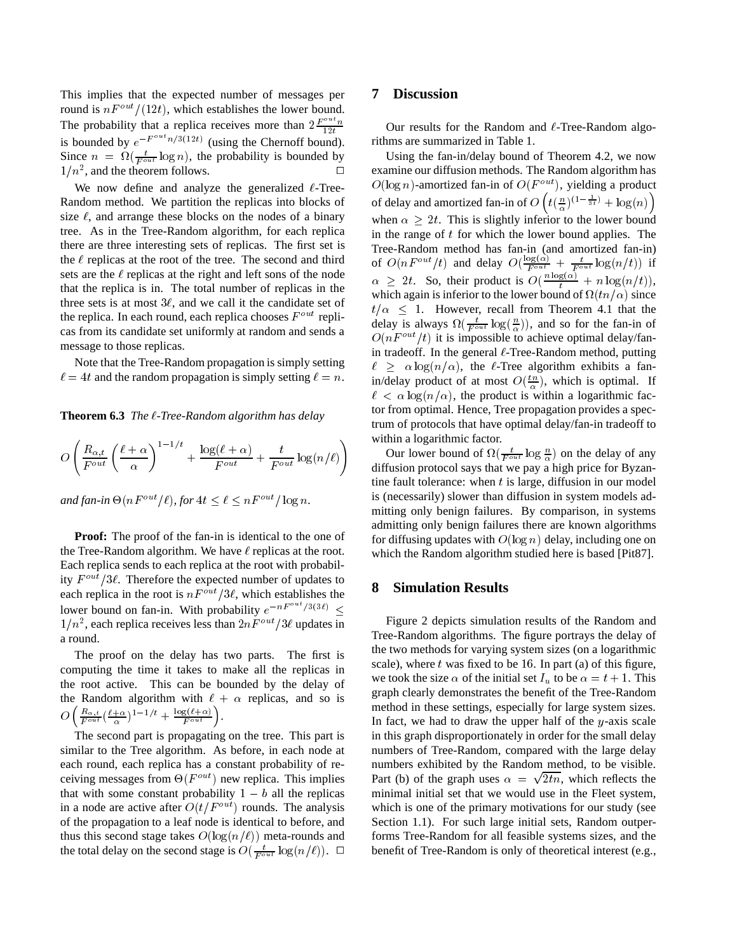This implies that the expected number of messages per round is  $nF^{out}/(12t)$ , which establishes the lower bound. The probability that a replica receives more than  $2\frac{F^{out}n}{12f}$ is bounded by  $e^{-F^{out} n/3(12t)}$  (using the Chernoff bound). Since  $n = \Omega(\frac{t}{F^{out}} \log n)$ , the probability is bounded by  $1/n^2$ , and the theorem follows.  $\Box$  examine

We now define and analyze the generalized  $\ell$ -Tree-Random method. We partition the replicas into blocks of size  $\ell$ , and arrange these blocks on the nodes of a binary tree. As in the Tree-Random algorithm, for each replica there are three interesting sets of replicas. The first set is the  $\ell$  replicas at the root of the tree. The second and third sets are the  $\ell$  replicas at the right and left sons of the node that the replica is in. The total number of replicas in the three sets is at most  $3\ell$ , and we call it the candidate set of the replica. In each round, each replica chooses  $F^{out}$  replicas from its candidate set uniformly at random and sends a message to those replicas.

Note that the Tree-Random propagation is simply setting  $\ell = 4t$  and the random propagation is simply setting  $\ell = n$ .

**Theorem 6.3** *The*  $\ell$ *-Tree-Random algorithm has delay* 

$$
O\left(\frac{R_{\alpha,t}}{F^{out}}\left(\frac{\ell+\alpha}{\alpha}\right)^{1-1/t} + \frac{\log(\ell+\alpha)}{F^{out}} + \frac{t}{F^{out}}\log(n/\ell)\right)
$$

and fan-in  $\Theta(nF^{out}/\ell)$ , for  $4t \leq \ell \leq nF^{out}/\log n$ .

**Proof:** The proof of the fan-in is identical to the one of the Tree-Random algorithm. We have  $\ell$  replicas at the root. Each replica sends to each replica at the root with probability  $F^{out}/3\ell$ . Therefore the expected number of updates to each replica in the root is  $nF^{out}/3\ell$ , which establishes the lower bound on fan-in. With probability  $e^{-nF^{out}/3(3\ell)}$   $\leq$  $1/n^2$ , each replica receives less than  $2nF^{out}/3\ell$  updates in a round.

The proof on the delay has two parts. The first is computing the time it takes to make all the replicas in the root active. This can be bounded by the delay of the Random algorithm with  $\ell + \alpha$  replicas, and so is O  $\left(\frac{R_{\alpha,t}}{F^{out}}\left(\frac{\ell+\alpha}{\alpha}\right)^{1-1/t}+\frac{\log(\ell+\alpha)}{F^{out}}\right).$ 

The second part is propagating on the tree. This part is similar to the Tree algorithm. As before, in each node at each round, each replica has a constant probability of receiving messages from  $\Theta(F^{out})$  new replica. This implies that with some constant probability  $1 - b$  all the replicas in a node are active after  $O(t/F<sup>out</sup>)$  rounds. The analysis of the propagation to a leaf node is identical to before, and thus this second stage takes  $O(log(n/\ell))$  meta-rounds and the total delay on the second stage is  $O(\frac{t}{F^{out}} \log(n/\ell))$ .  $\Box$  benefit of

#### **7 Discussion**

Our results for the Random and  $\ell$ -Tree-Random algorithms are summarized in Table 1.

Using the fan-in/delay bound of Theorem 4.2, we now examine our diffusion methods. The Random algorithm has  $O(\log n)$ -amortized fan-in of  $O(F^{out})$ , yielding a product of delay and amortized fan-in of  $O\left(t(\frac{n}{\alpha})^{\left(1-\frac{1}{3t}\right)} + \log(n)\right)$ when  $\alpha \geq 2t$ . This is slightly inferior to the lower bound in the range of  $t$  for which the lower bound applies. The Tree-Random method has fan-in (and amortized fan-in) of  $O(nF^{out}/t)$  and delay  $O(\frac{\log(\alpha)}{F^{out}} + \frac{t}{F^{out}} \log(n/t))$  if  $\alpha \geq 2t$ . So, their product is  $O(\frac{n \log(\alpha)}{t} + n \log(n/t)),$ which again is inferior to the lower bound of  $\Omega(tn/\alpha)$  since  $t/\alpha \leq 1$ . However, recall from Theorem 4.1 that the delay is always  $\Omega(\frac{t}{F^{out}} \log(\frac{n}{\alpha}))$ , and so for the fan-in of  $O(nF^{out}/t)$  it is impossible to achieve optimal delay/fanin tradeoff. In the general  $\ell$ -Tree-Random method, putting  $\ell \geq \alpha \log(n/\alpha)$ , the  $\ell$ -Tree algorithm exhibits a fanin/delay product of at most  $O(\frac{tn}{\alpha})$ , which is optimal. If  $\ell < \alpha \log(n/\alpha)$ , the product is within a logarithmic factor from optimal. Hence, Tree propagation provides a spectrum of protocols that have optimal delay/fan-in tradeoff to within a logarithmic factor.

 $\frac{t}{F^{out}} \log(n/\ell)$  Our lower bound of  $\Omega(\frac{t}{F^{out}} \log \frac{n}{\alpha})$  on the delay of any  $F^{out}$ diffusion protocol says that we pay a high price for Byzantine fault tolerance: when  $t$  is large, diffusion in our model is (necessarily) slower than diffusion in system models admitting only benign failures. By comparison, in systems admitting only benign failures there are known algorithms for diffusing updates with  $O(\log n)$  delay, including one on which the Random algorithm studied here is based [Pit87].

#### **8 Simulation Results**

Figure 2 depicts simulation results of the Random and Tree-Random algorithms. The figure portrays the delay of the two methods for varying system sizes (on a logarithmic scale), where  $t$  was fixed to be 16. In part (a) of this figure, we took the size  $\alpha$  of the initial set  $I_u$  to be  $\alpha = t + 1$ . This graph clearly demonstrates the benefit of the Tree-Random method in these settings, especially for large system sizes. In fact, we had to draw the upper half of the  $y$ -axis scale in this graph disproportionately in order for the small delay numbers of Tree-Random, compared with the large delay numbers exhibited by the Random method, to be visible. Part (b) of the graph uses  $\alpha = \sqrt{2tn}$ , which reflects the minimal initial set that we would use in the Fleet system, which is one of the primary motivations for our study (see Section 1.1). For such large initial sets, Random outperforms Tree-Random for all feasible systems sizes, and the benefit of Tree-Random is only of theoretical interest (e.g.,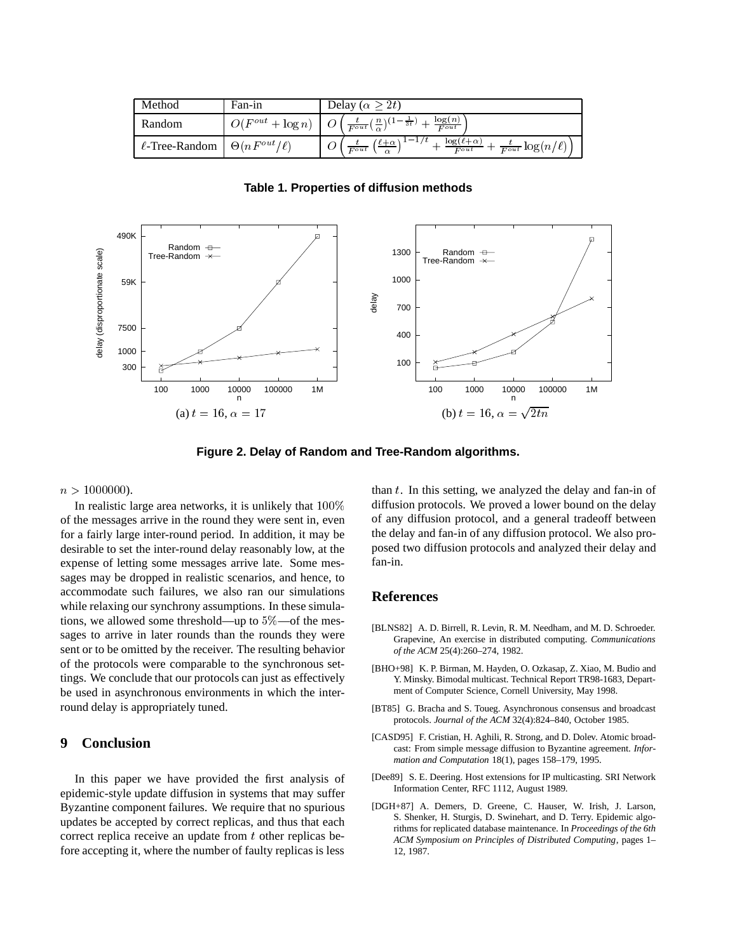| Method                                                  | Fan-in                     | Delay ( $\alpha > 2t$ )                                                                                                                                        |
|---------------------------------------------------------|----------------------------|----------------------------------------------------------------------------------------------------------------------------------------------------------------|
| Random                                                  | $O(F^{out} + \log n)^{-1}$ | $\frac{\log(n)}{F^{out}}$<br>$\frac{t}{F^{out}}(\frac{n}{\alpha})^{\left(1-\frac{1}{3t}\right)}+$<br>$\overline{O}$                                            |
| $\ell$ -Tree-Random $\mid \Theta(nF^{out}/\ell)\rangle$ |                            | $\log(\ell+\alpha)$<br>$\left(\frac{\ell+\alpha}{\ell+1}\right)^{1-1/t}$<br>$\frac{d}{dt} + \frac{t}{F^{out}} \log(n/\ell)$<br>$E$ out<br>$E_0$ ut<br>$\alpha$ |

**Table 1. Properties of diffusion methods**



**Figure 2. Delay of Random and Tree-Random algorithms.**

#### $n > 1000000$ .

In realistic large area networks, it is unlikely that 100% of the messages arrive in the round they were sent in, even for a fairly large inter-round period. In addition, it may be desirable to set the inter-round delay reasonably low, at the expense of letting some messages arrive late. Some messages may be dropped in realistic scenarios, and hence, to accommodate such failures, we also ran our simulations while relaxing our synchrony assumptions. In these simulations, we allowed some threshold—up to 5%—of the messages to arrive in later rounds than the rounds they were sent or to be omitted by the receiver. The resulting behavior of the protocols were comparable to the synchronous settings. We conclude that our protocols can just as effectively be used in asynchronous environments in which the interround delay is appropriately tuned.

## **9 Conclusion**

In this paper we have provided the first analysis of epidemic-style update diffusion in systems that may suffer Byzantine component failures. We require that no spurious updates be accepted by correct replicas, and thus that each correct replica receive an update from <sup>t</sup> other replicas before accepting it, where the number of faulty replicas is less

than  $t$ . In this setting, we analyzed the delay and fan-in of diffusion protocols. We proved a lower bound on the delay of any diffusion protocol, and a general tradeoff between the delay and fan-in of any diffusion protocol. We also proposed two diffusion protocols and analyzed their delay and fan-in.

#### **References**

- [BLNS82] A. D. Birrell, R. Levin, R. M. Needham, and M. D. Schroeder. Grapevine, An exercise in distributed computing. *Communications of the ACM* 25(4):260–274, 1982.
- [BHO+98] K. P. Birman, M. Hayden, O. Ozkasap, Z. Xiao, M. Budio and Y. Minsky. Bimodal multicast. Technical Report TR98-1683, Department of Computer Science, Cornell University, May 1998.
- [BT85] G. Bracha and S. Toueg. Asynchronous consensus and broadcast protocols. *Journal of the ACM* 32(4):824–840, October 1985.
- [CASD95] F. Cristian, H. Aghili, R. Strong, and D. Dolev. Atomic broadcast: From simple message diffusion to Byzantine agreement. *Information and Computation* 18(1), pages 158–179, 1995.
- [Dee89] S. E. Deering. Host extensions for IP multicasting. SRI Network Information Center, RFC 1112, August 1989.
- [DGH+87] A. Demers, D. Greene, C. Hauser, W. Irish, J. Larson, S. Shenker, H. Sturgis, D. Swinehart, and D. Terry. Epidemic algorithms for replicated database maintenance. In *Proceedings of the 6th ACM Symposium on Principles of Distributed Computing*, pages 1– 12, 1987.